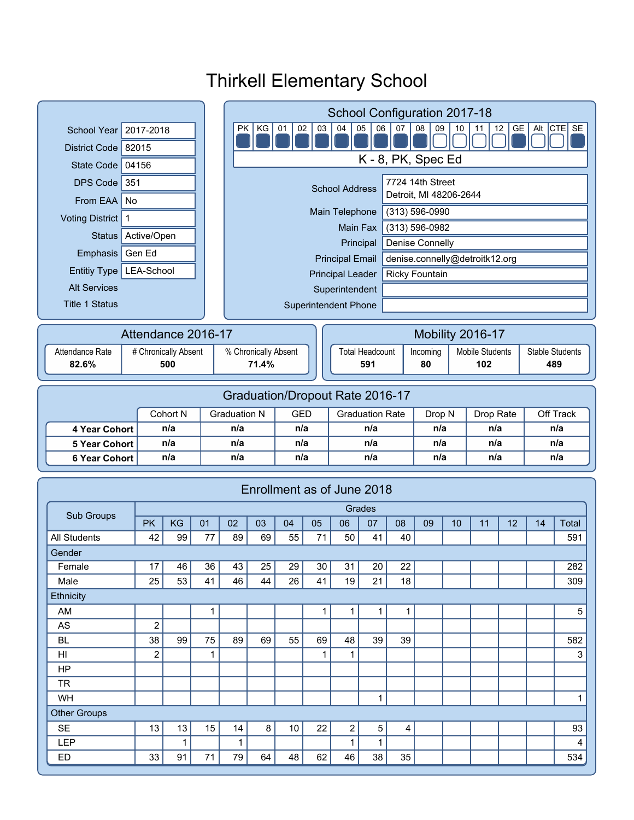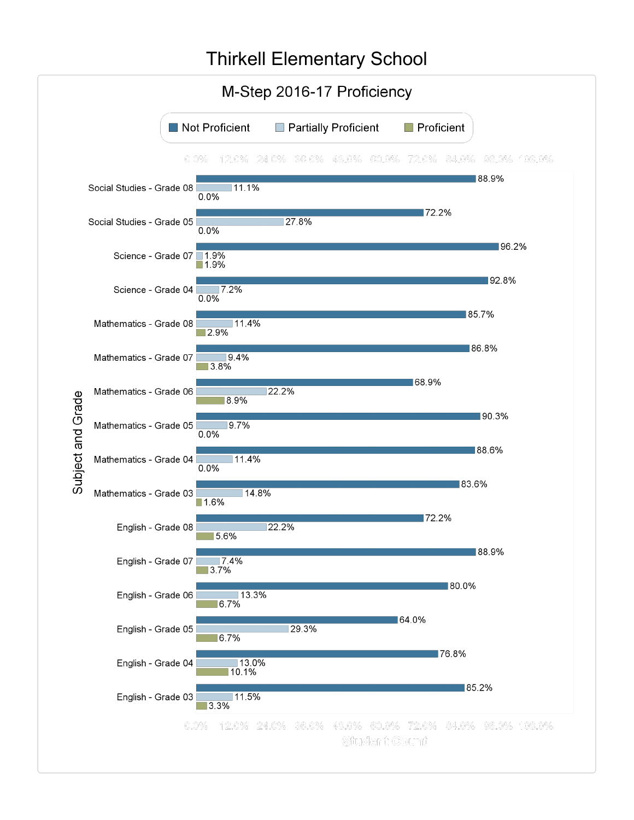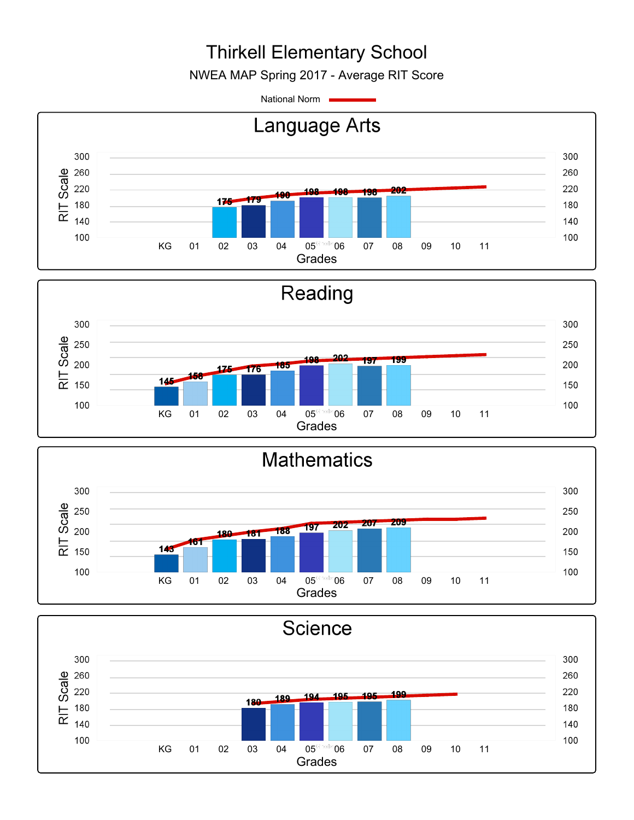NWEA MAP Spring 2017 - Average RIT Score

National Norm